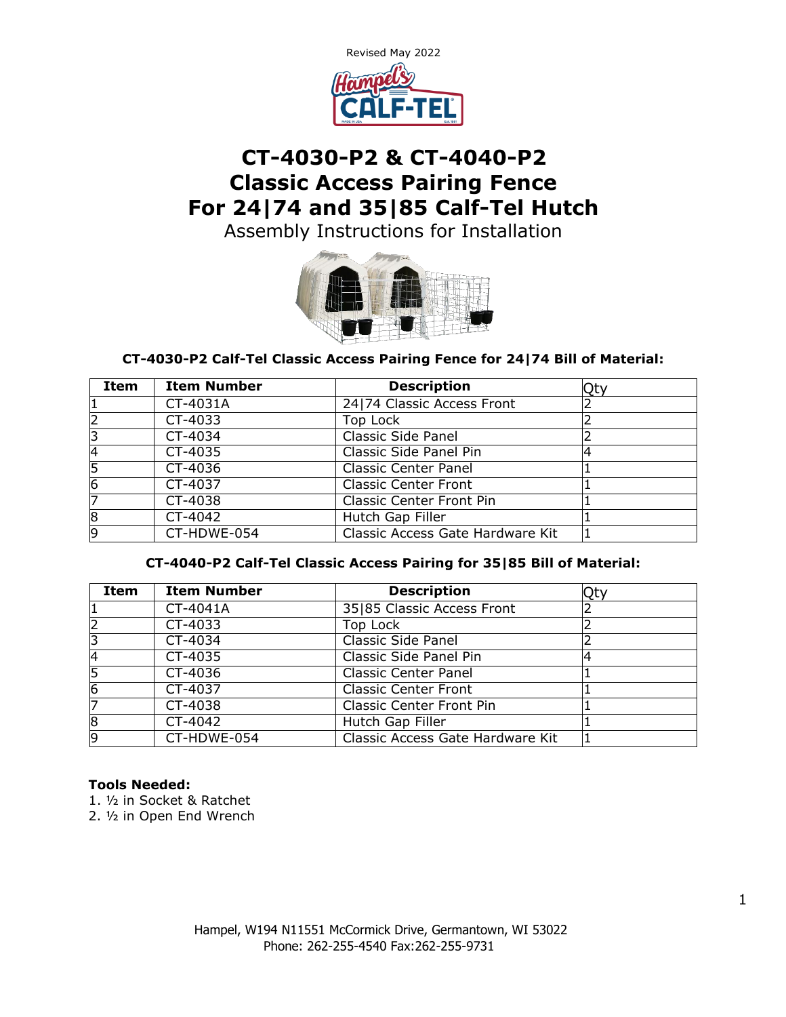

# **CT-4030-P2 & CT-4040-P2 Classic Access Pairing Fence For 24|74 and 35|85 Calf-Tel Hutch**

Assembly Instructions for Installation



# **CT-4030-P2 Calf-Tel Classic Access Pairing Fence for 24|74 Bill of Material:**

| Item           | <b>Item Number</b> | <b>Description</b>               | Qty |
|----------------|--------------------|----------------------------------|-----|
|                | CT-4031A           | 24 74 Classic Access Front       |     |
|                | CT-4033            | Top Lock                         |     |
| 3              | CT-4034            | <b>Classic Side Panel</b>        |     |
| 4              | CT-4035            | Classic Side Panel Pin           |     |
| 5              | CT-4036            | <b>Classic Center Panel</b>      |     |
| $\overline{6}$ | CT-4037            | <b>Classic Center Front</b>      |     |
|                | CT-4038            | <b>Classic Center Front Pin</b>  |     |
| 8              | CT-4042            | Hutch Gap Filler                 |     |
| 9              | CT-HDWE-054        | Classic Access Gate Hardware Kit |     |

#### **CT-4040-P2 Calf-Tel Classic Access Pairing for 35|85 Bill of Material:**

| Item           | <b>Item Number</b> | <b>Description</b>               | Ot۱ |
|----------------|--------------------|----------------------------------|-----|
| 1              | CT-4041A           | 35 85 Classic Access Front       |     |
| $\overline{2}$ | CT-4033            | Top Lock                         |     |
| 3              | CT-4034            | <b>Classic Side Panel</b>        |     |
| 4              | CT-4035            | Classic Side Panel Pin           |     |
| 5              | CT-4036            | <b>Classic Center Panel</b>      |     |
| $\overline{6}$ | CT-4037            | <b>Classic Center Front</b>      |     |
| 7              | CT-4038            | <b>Classic Center Front Pin</b>  |     |
| 8              | CT-4042            | Hutch Gap Filler                 |     |
| 9              | CT-HDWE-054        | Classic Access Gate Hardware Kit |     |

#### **Tools Needed:**

1. ½ in Socket & Ratchet

2. ½ in Open End Wrench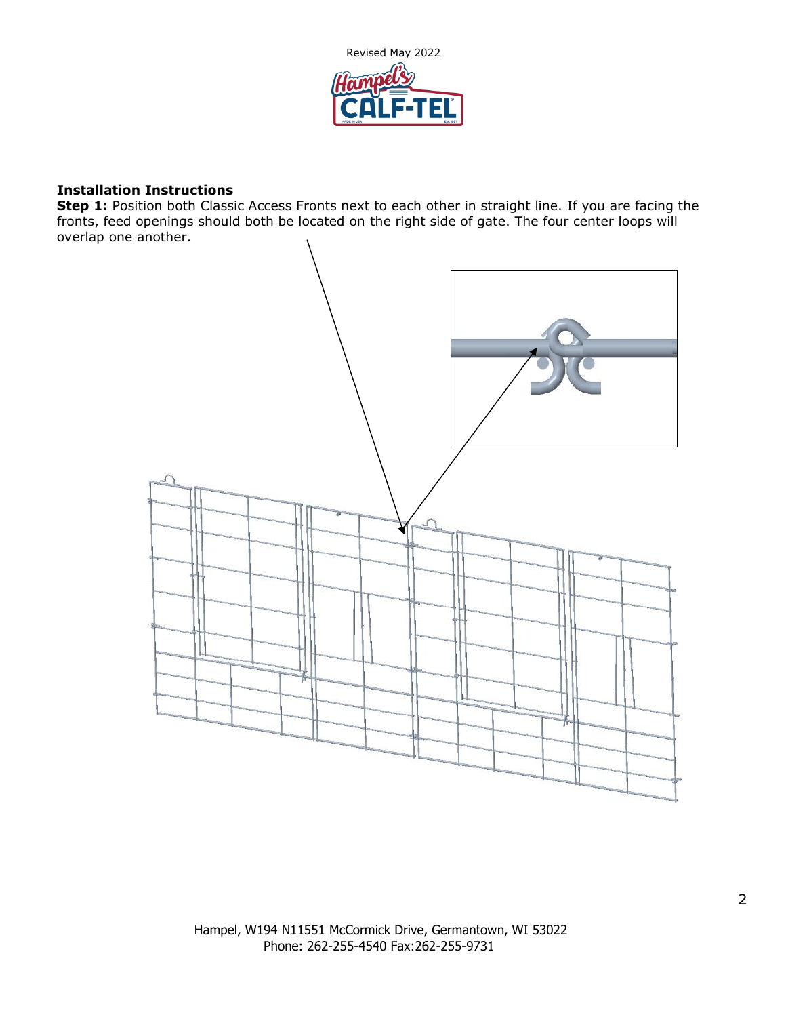

#### **Installation Instructions**

**Step 1:** Position both Classic Access Fronts next to each other in straight line. If you are facing the fronts, feed openings should both be located on the right side of gate. The four center loops will overlap one another.

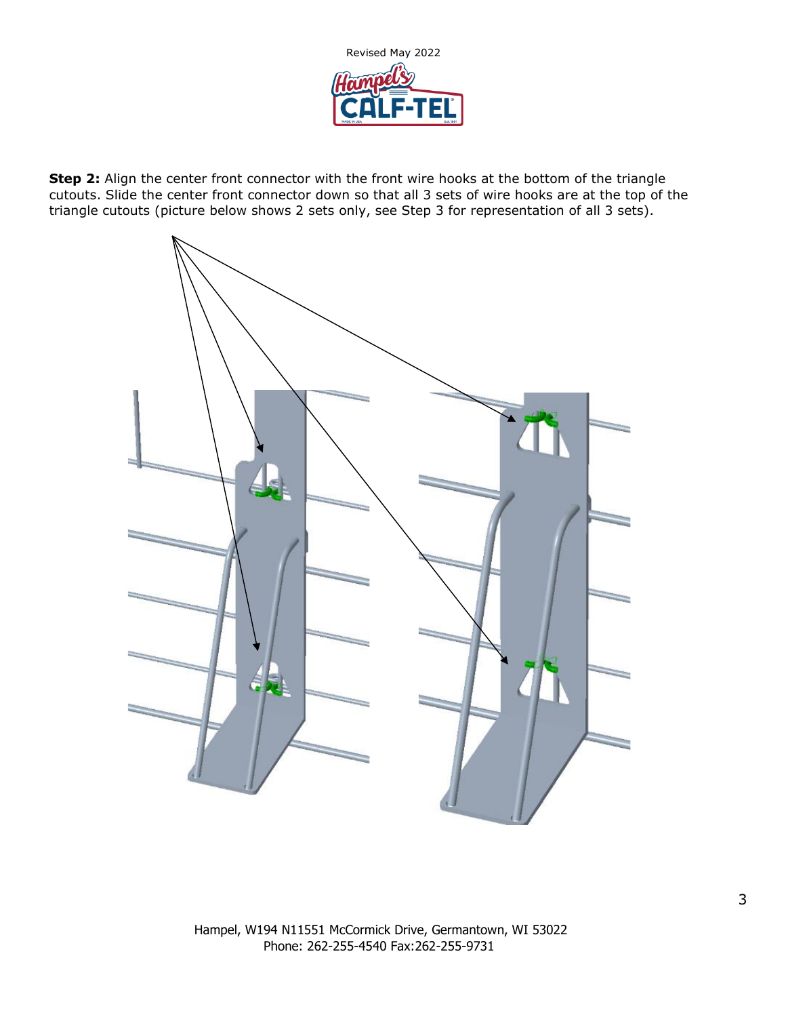

**Step 2:** Align the center front connector with the front wire hooks at the bottom of the triangle cutouts. Slide the center front connector down so that all 3 sets of wire hooks are at the top of the triangle cutouts (picture below shows 2 sets only, see Step 3 for representation of all 3 sets).

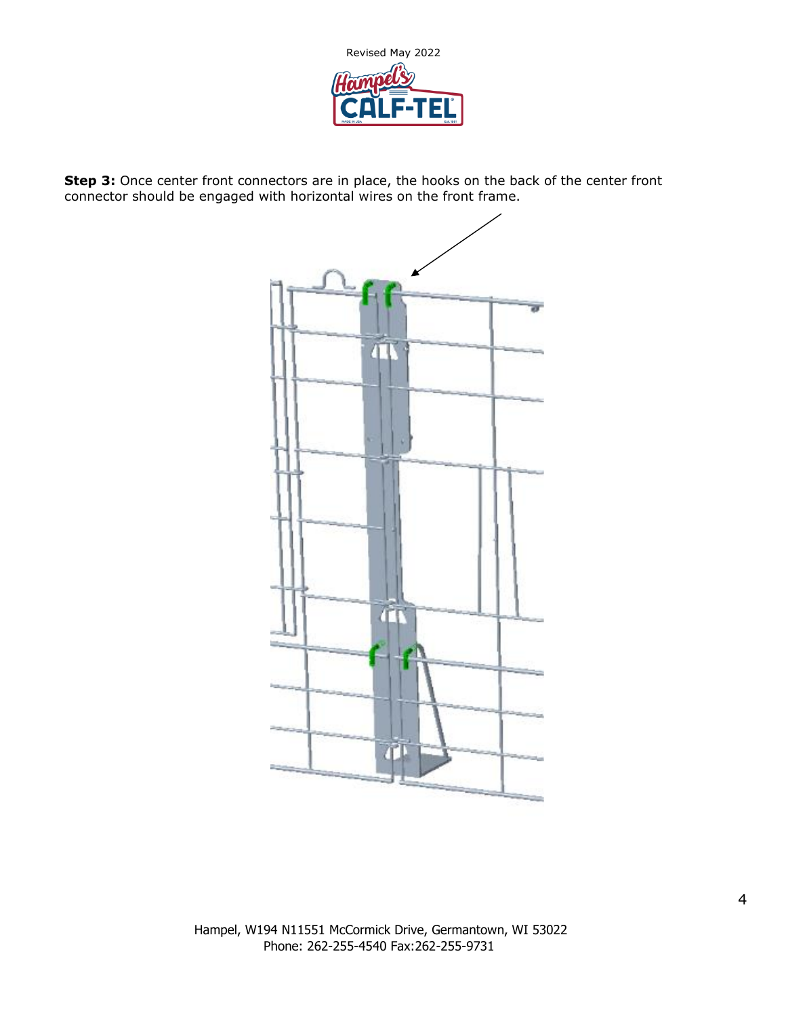

**Step 3:** Once center front connectors are in place, the hooks on the back of the center front connector should be engaged with horizontal wires on the front frame.

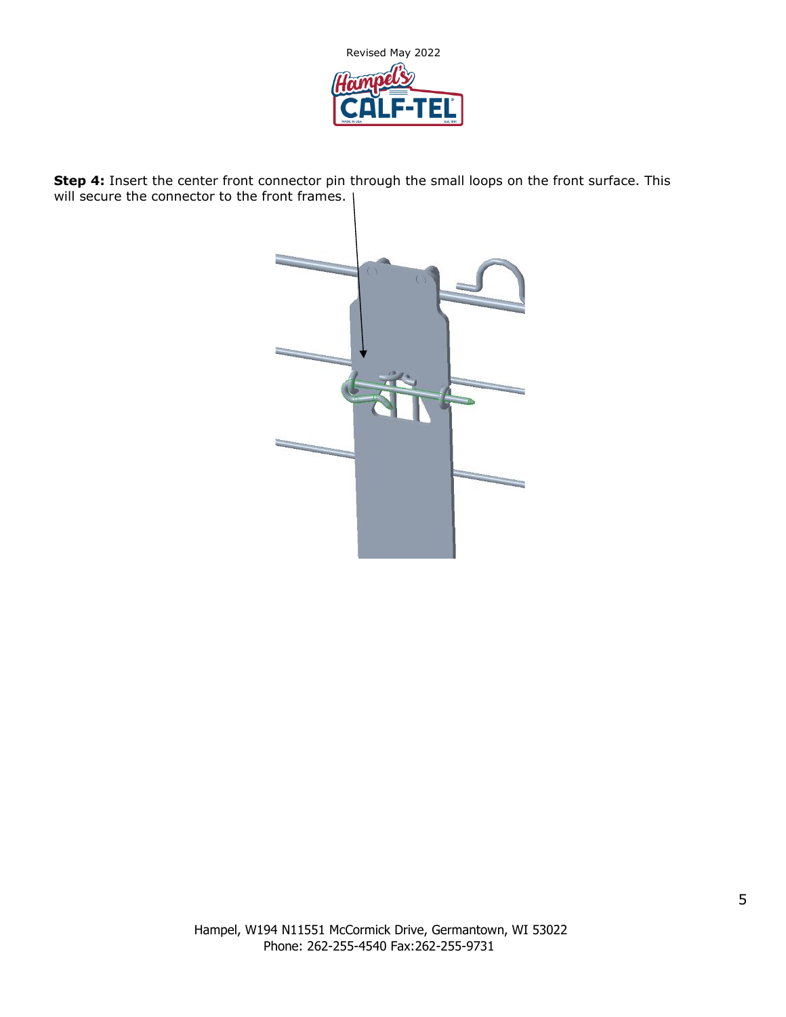

**Step 4:** Insert the center front connector pin through the small loops on the front surface. This will secure the connector to the front frames.

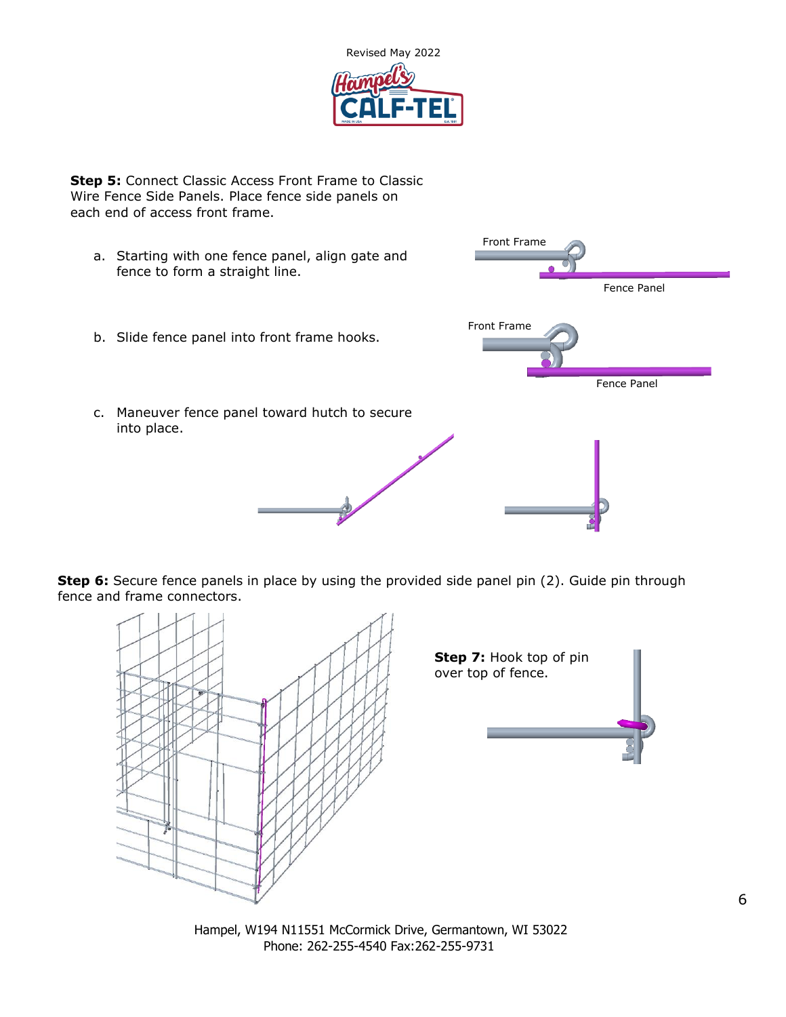

**Step 5: Connect Classic Access Front Frame to Classic** Wire Fence Side Panels. Place fence side panels on each end of access front frame.

a. Starting with one fence panel, align gate and fence to form a straight line. b. Slide fence panel into front frame hooks. c. Maneuver fence panel toward hutch to secure into place. Front Frame Fence Panel Front Frame Fence Panel

**Step 6:** Secure fence panels in place by using the provided side panel pin (2). Guide pin through fence and frame connectors.



Hampel, W194 N11551 McCormick Drive, Germantown, WI 53022 Phone: 262-255-4540 Fax:262-255-9731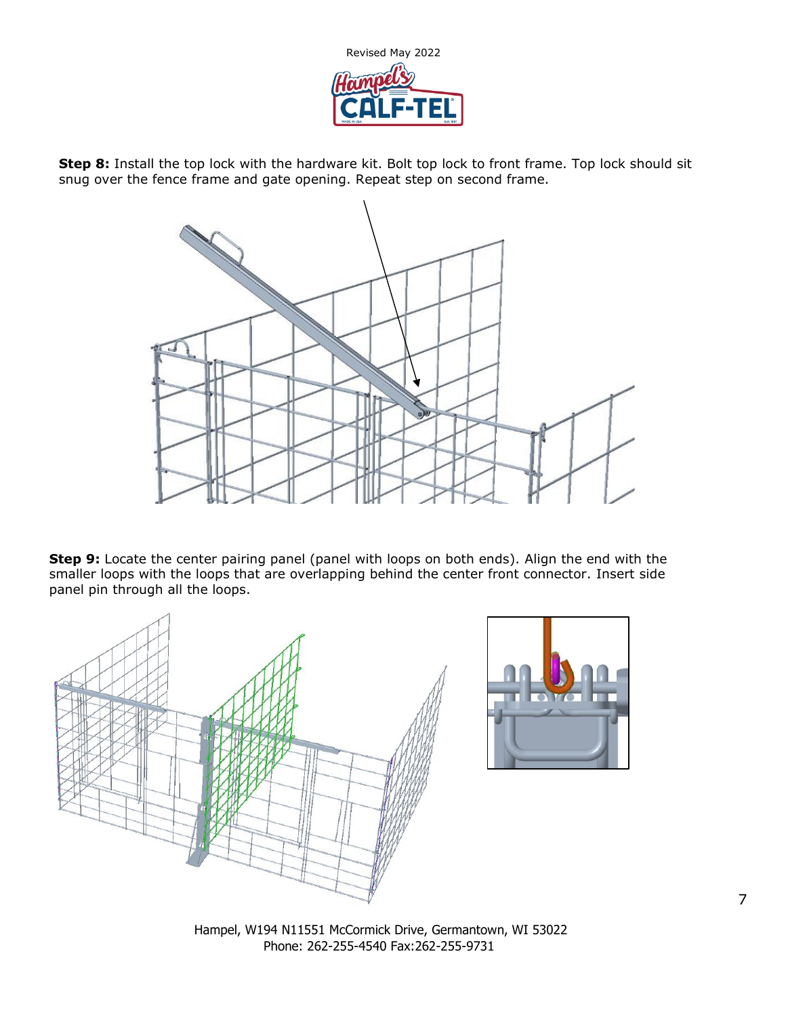

**Step 8:** Install the top lock with the hardware kit. Bolt top lock to front frame. Top lock should sit snug over the fence frame and gate opening. Repeat step on second frame.



**Step 9:** Locate the center pairing panel (panel with loops on both ends). Align the end with the smaller loops with the loops that are overlapping behind the center front connector. Insert side panel pin through all the loops.





Hampel, W194 N11551 McCormick Drive, Germantown, WI 53022 Phone: 262-255-4540 Fax:262-255-9731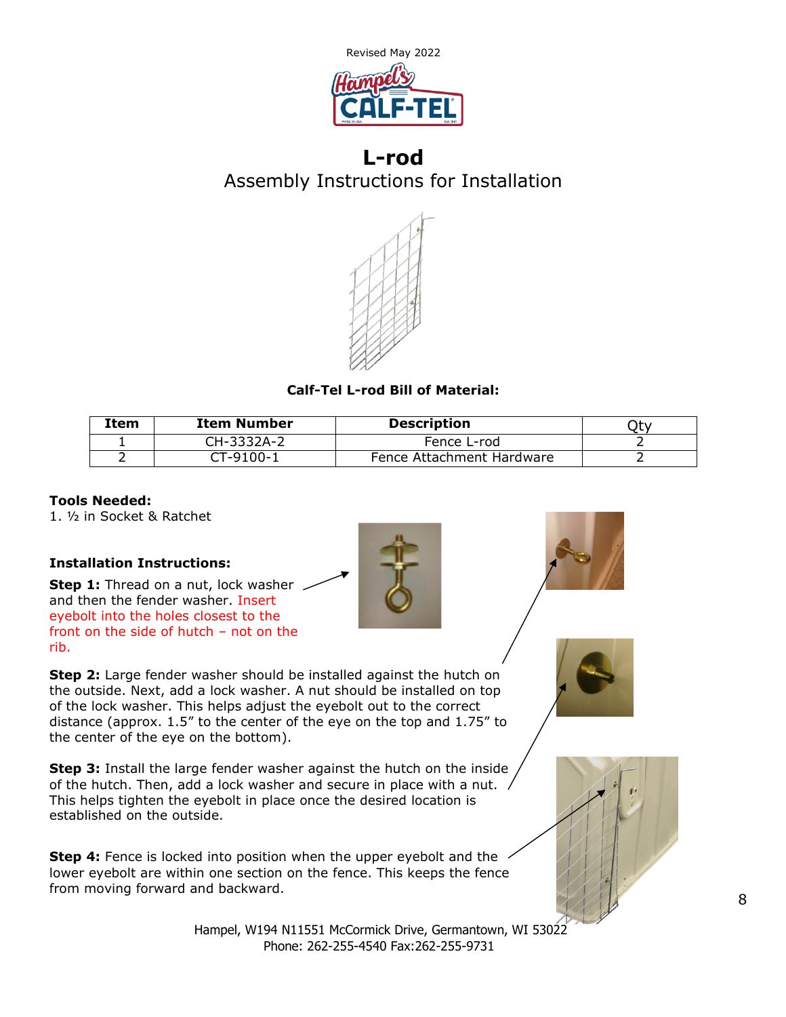

# **L-rod** Assembly Instructions for Installation



# **Calf-Tel L-rod Bill of Material:**

| Item | <b>Item Number</b> | <b>Description</b>        |  |
|------|--------------------|---------------------------|--|
|      | CH-3332A-2         | Fence L-rod               |  |
|      | CT-9100-1          | Fence Attachment Hardware |  |

#### **Tools Needed:**

1. ½ in Socket & Ratchet

# **Installation Instructions:**

**Step 1:** Thread on a nut, lock washer and then the fender washer. Insert eyebolt into the holes closest to the front on the side of hutch – not on the rib.



**Step 2:** Large fender washer should be installed against the hutch on the outside. Next, add a lock washer. A nut should be installed on top of the lock washer. This helps adjust the eyebolt out to the correct distance (approx. 1.5" to the center of the eye on the top and 1.75" to the center of the eye on the bottom).

**Step 3:** Install the large fender washer against the hutch on the inside of the hutch. Then, add a lock washer and secure in place with a nut. This helps tighten the eyebolt in place once the desired location is established on the outside.

**Step 4:** Fence is locked into position when the upper eyebolt and the lower eyebolt are within one section on the fence. This keeps the fence from moving forward and backward.

> Hampel, W194 N11551 McCormick Drive, Germantown, WI 53022 Phone: 262-255-4540 Fax:262-255-9731